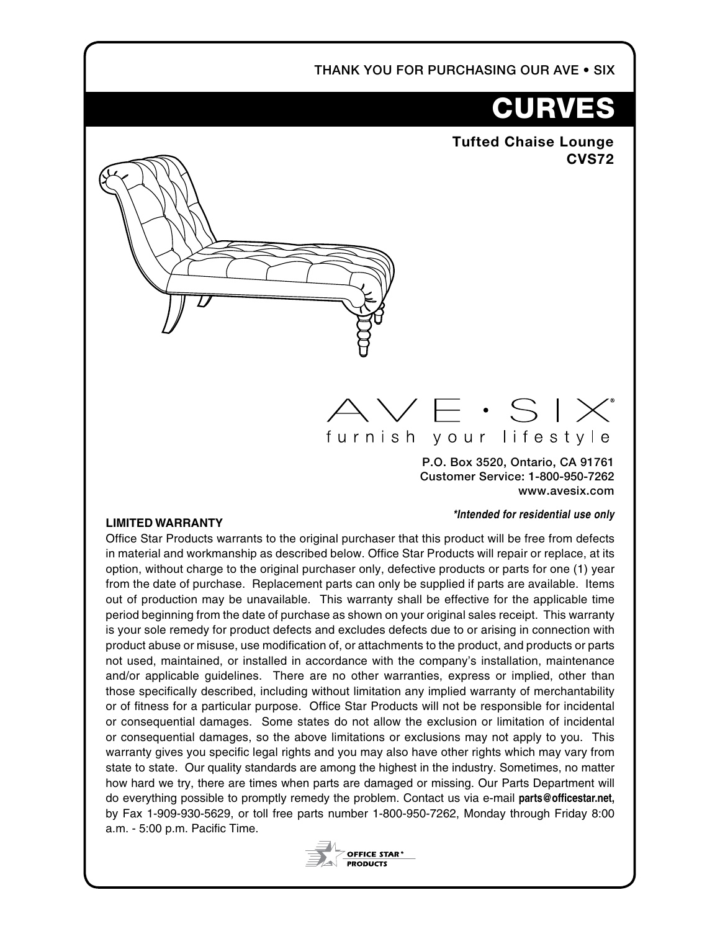THANK YOU FOR PURCHASING OUR AVE • SIX

# **CURVES**

**Tufted Chaise Lounge CVS72**

## $\lor$   $\in$   $\cdot$  S I  $\times^{\!\!*}$ furnish your lifestyle

P.O. Box 3520, Ontario, CA 91761 Customer Service: 1-800-950-7262 www.avesix.com

#### *\*Intended for residential use only*

#### **LIMITED WARRANTY**

Office Star Products warrants to the original purchaser that this product will be free from defects in material and workmanship as described below. Office Star Products will repair or replace, at its option, without charge to the original purchaser only, defective products or parts for one (1) year from the date of purchase. Replacement parts can only be supplied if parts are available. Items out of production may be unavailable. This warranty shall be effective for the applicable time period beginning from the date of purchase as shown on your original sales receipt. This warranty is your sole remedy for product defects and excludes defects due to or arising in connection with product abuse or misuse, use modification of, or attachments to the product, and products or parts not used, maintained, or installed in accordance with the company's installation, maintenance and/or applicable guidelines. There are no other warranties, express or implied, other than those specifically described, including without limitation any implied warranty of merchantability or of fitness for a particular purpose. Office Star Products will not be responsible for incidental or consequential damages. Some states do not allow the exclusion or limitation of incidental or consequential damages, so the above limitations or exclusions may not apply to you. This warranty gives you specific legal rights and you may also have other rights which may vary from state to state. Our quality standards are among the highest in the industry. Sometimes, no matter how hard we try, there are times when parts are damaged or missing. Our Parts Department will do everything possible to promptly remedy the problem. Contact us via e-mail **parts@officestar.net,** by Fax 1-909-930-5629, or toll free parts number 1-800-950-7262, Monday through Friday 8:00 a.m. - 5:00 p.m. Pacific Time.

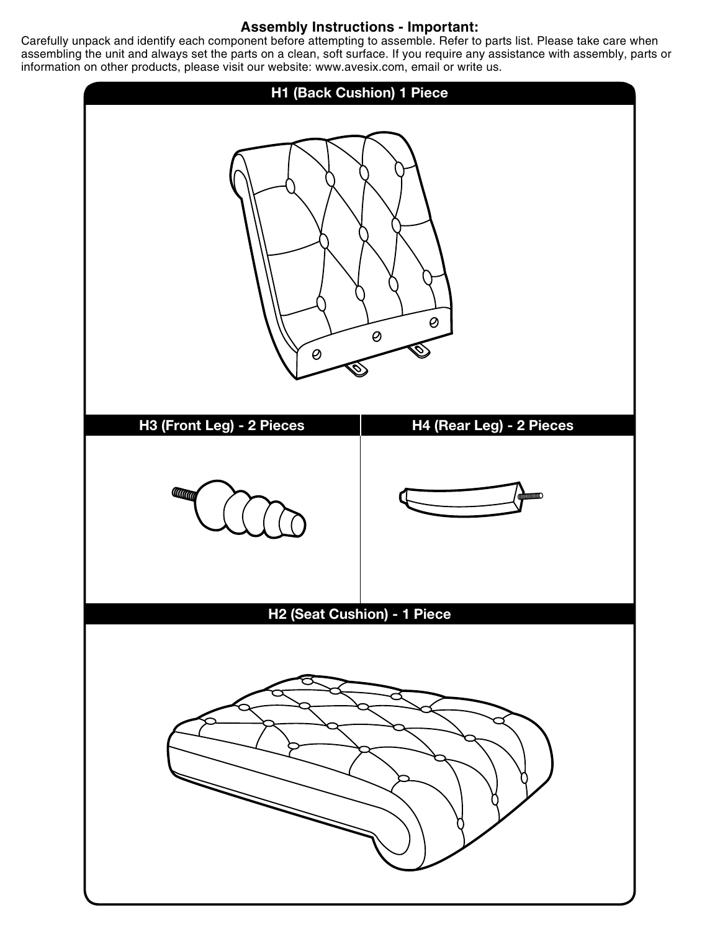### **Assembly Instructions - Important:**

Carefully unpack and identify each component before attempting to assemble. Refer to parts list. Please take care when assembling the unit and always set the parts on a clean, soft surface. If you require any assistance with assembly, parts or information on other products, please visit our website: www.avesix.com, email or write us.

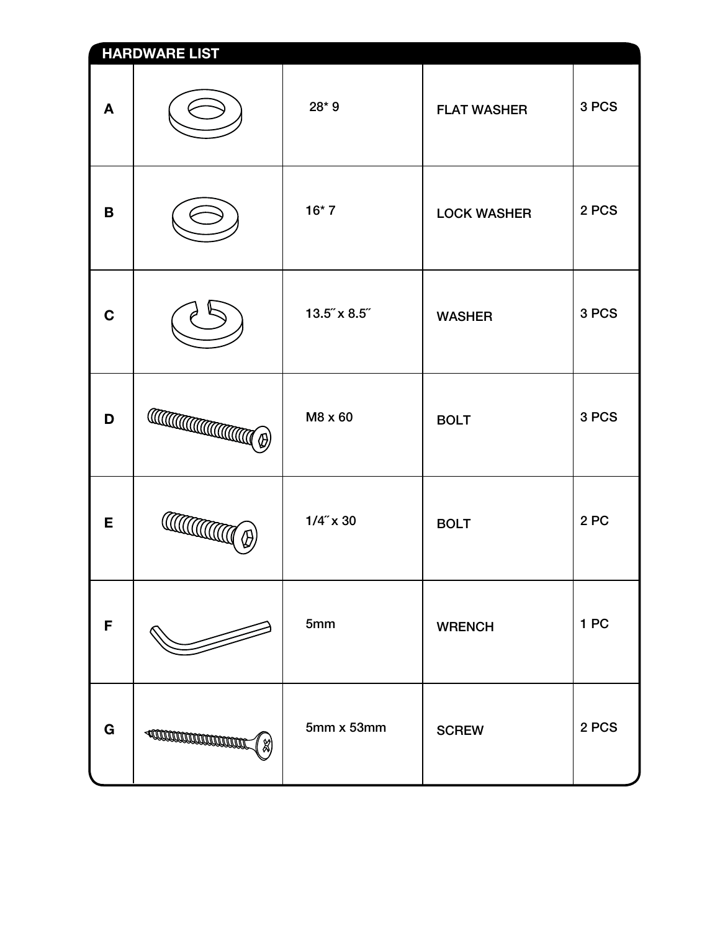| <b>HARDWARE LIST</b> |                                                                                                                                                                                                                                                                                                                                                                                                                                                                               |              |                    |       |
|----------------------|-------------------------------------------------------------------------------------------------------------------------------------------------------------------------------------------------------------------------------------------------------------------------------------------------------------------------------------------------------------------------------------------------------------------------------------------------------------------------------|--------------|--------------------|-------|
| A                    |                                                                                                                                                                                                                                                                                                                                                                                                                                                                               | 28*9         | <b>FLAT WASHER</b> | 3 PCS |
| B                    |                                                                                                                                                                                                                                                                                                                                                                                                                                                                               | $16*7$       | <b>LOCK WASHER</b> | 2 PCS |
| $\mathbf C$          |                                                                                                                                                                                                                                                                                                                                                                                                                                                                               | 13.5" x 8.5" | <b>WASHER</b>      | 3 PCS |
| D                    | $\text{Tr}(\mathcal{L}(\mathcal{L}(\mathcal{L}))\otimes \mathcal{L}(\mathcal{L}))=\text{Tr}(\mathcal{L}(\mathcal{L}(\mathcal{L}))\otimes \mathcal{L}(\mathcal{L}(\mathcal{L}(\mathcal{L})))\otimes \mathcal{L}(\mathcal{L}(\mathcal{L}(\mathcal{L})))\otimes \mathcal{L}(\mathcal{L}(\mathcal{L}(\mathcal{L}(\mathcal{L})))\otimes \mathcal{L}(\mathcal{L}(\mathcal{L}(\mathcal{L})))\otimes \mathcal{L}(\mathcal{L}(\mathcal{L}(\mathcal{L}(\mathcal{L})))\otimes \mathcal{$ | M8 x 60      | <b>BOLT</b>        | 3 PCS |
| E                    | <b>CONTROLLED</b>                                                                                                                                                                                                                                                                                                                                                                                                                                                             | $1/4$ " x 30 | <b>BOLT</b>        | 2PC   |
| F                    |                                                                                                                                                                                                                                                                                                                                                                                                                                                                               | 5mm          | <b>WRENCH</b>      | 1 PC  |
| G                    | <b>ACCORDINATION CONTINUE</b><br>କ୍ଷ                                                                                                                                                                                                                                                                                                                                                                                                                                          | 5mm x 53mm   | <b>SCREW</b>       | 2 PCS |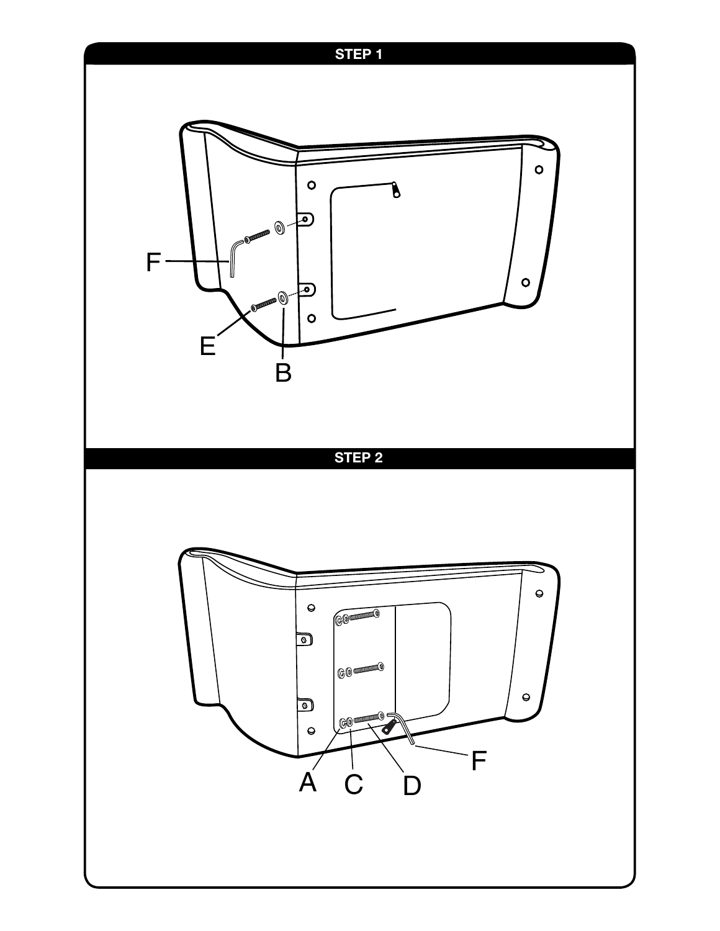